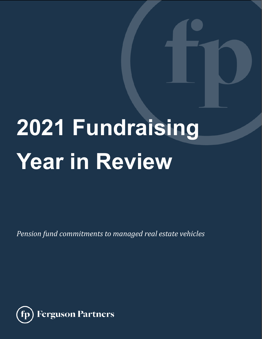# **2021 Fundraising Year in Review**

*Pension fund commitments to managed real estate vehicles*

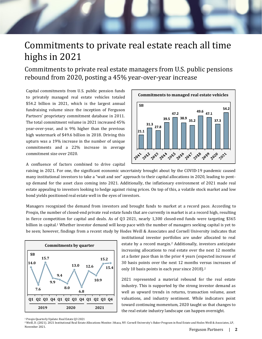## Commitments to private real estate reach all time highs in 2021

### Commitments to private real estate managers from U.S. public pensions rebound from 2020, posting a 45% year-over-year increase

Capital commitments from U.S. public pension funds to privately managed real estate vehicles totaled \$54.2 billion in 2021, which is the largest annual fundraising volume since the inception of Ferguson Partners' proprietary commitment database in 2011. The total commitment volume in 2021 increased 45% year-over-year, and is 9% higher than the previous high watermark of \$49.6 billion in 2018. Driving this upturn was a 19% increase in the number of unique commitments and a 22% increase in average commitment size over 2020.



A confluence of factors combined to drive capital

raising in 2021. For one, the significant economic uncertainty brought about by the COVID-19 pandemic caused many institutional investors to take a "wait and see" approach to their capital allocations in 2020, leading to pentup demand for the asset class coming into 2021. Additionally, the inflationary environment of 2021 made real estate appealing to investors looking to hedge against rising prices. On top of this, a volatile stock market and low bond yields positioned real estate well in the eyes of investors.

Managers recognized the demand from investors and brought funds to market at a record pace. According to Preqin, the number of closed-end private real estate funds that are currently in market is at a record high, resulting in fierce competition for capital and deals. As of Q3 2021, nearly 1,300 closed-end funds were targeting \$365 billion in capital.<sup>1</sup> Whether investor demand will keep pace with the number of managers seeking capital is yet to be seen; however, findings from a recent study by Hodes Weill & Associates and Cornell University indicates that



institutional investor portfolios are under allocated to real estate by a record margin.<sup>2</sup> Additionally, investors anticipate increasing allocations to real estate over the next 12 months at a faster pace than in the prior 4 years (expected increase of 30 basis points over the next 12 months versus increases of only 10 basis points in each year since 2018).<sup>2</sup>

2021 represented a material rebound for the real estate industry. This is supported by the strong investor demand as well as upward trends in returns, transaction volume, asset valuations, and industry sentiment. While indicators point toward continuing momentum, 2020 taught us that changes to the real estate industry landscape can happen overnight.

<sup>1</sup> Preqin Quarterly Update: Real Estate Q3 2021

<sup>2</sup> Weill, D. (2021). 2021 Institutional Real Estate Allocations Monitor. Ithaca, NY: Cornell University's Baker Program in Real Estate and Hodes Weill & Associates, LP, November 2021.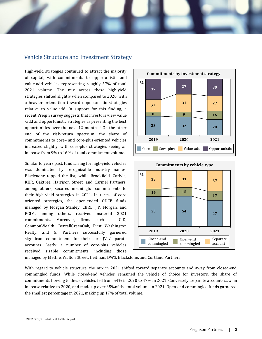#### Vehicle Structure and Investment Strategy

High-yield strategies continued to attract the majority of capital, with commitments to opportunistic and value-add vehicles representing roughly 57% of total 2021 volume. The mix across these high-yield strategies shifted slightly when compared to 2020, with a heavier orientation toward opportunistic strategies relative to value-add. In support for this finding, a recent Preqin survey suggests that investors view value -add and opportunistic strategies as presenting the best opportunities over the next 12 months.<sup>1</sup> On the other end of the risk-return spectrum, the share of commitments to core– and core-plus-oriented vehicles increased slightly, with core-plus strategies seeing an increase from 9% to 16% of total commitment volume.

Similar to years past, fundraising for high-yield vehicles was dominated by recognizable industry names. Blackstone topped the list, while Brookfield, Carlyle, KKR, Oaktree, Harrison Street, and Carmel Partners, among others, secured meaningful commitments to their high-yield strategies in 2021. In terms of core oriented strategies, the open-ended ODCE funds managed by Morgan Stanley, CBRE, J.P. Morgan, and PGIM, among others, received material 2021 commitments. Moreover, firms such as GID, CommonWealth, BentallGreenOak, First Washington Realty, and GI Partners successfully garnered significant commitments for their core JVs/separate accounts. Lastly, a number of core-plus vehicles received sizable commitments, including those





managed by Metlife, Walton Street, Heitman, DWS, Blackstone, and Cortland Partners.

With regard to vehicle structure, the mix in 2021 shifted toward separate accounts and away from closed-end commingled funds. While closed-end vehicles remained the vehicle of choice for investors, the share of commitments flowing to these vehicles fell from 54% in 2020 to 47% in 2021. Conversely, separate accounts saw an increase relative to 2020, and made up over 35%of the total volume in 2021. Open-end commingled funds garnered the smallest percentage in 2021, making up 17% of total volume.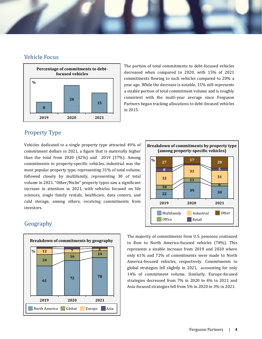#### Vehicle Focus



The portion of total commitments to debt-focused vehicles decreased when compared to 2020, with 15% of 2021 commitments flowing to such vehicles compared to 20% a year ago. While the decrease is notable, 15% still represents a sizable portion of total commitment volume and is roughly consistent with the multi-year average since Ferguson Partners began tracking allocations to debt-focused vehicles in 2015.

#### Property Type

Vehicles dedicated to a single property type attracted 49% of commitment dollars in 2021, a figure that is materially higher than the total from 2020 (42%) and 2019 (37%). Among commitments to property-specific vehicles, industrial was the most popular property type, representing 31% of total volume, followed closely by multifamily, representing 30 of total volume in 2021. "Other/Niche" property types saw a significant increase in attention in 2021, with vehicles focused on life sciences, single family rentals, healthcare, data centers, and cold storage, among others, receiving commitments from investors.

#### Geography





The majority of commitments from U.S. pensions continued to flow to North America-focused vehicles (78%). This represents a sizable increase from 2019 and 2020 where only 61% and 72% of commitments were made to North America-focused vehicles, respectively. Commitments to global strategies fell slightly in 2021, accounting for only 14% of commitment volume. Similarly, Europe-focused strategies decreased from 7% in 2020 to 4% in 2021 and Asia-focused strategies fell from 5% in 2020 to 3% in 2021.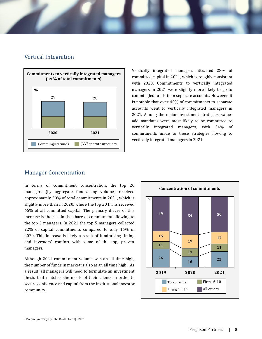#### Vertical Integration



Vertically integrated managers attracted 28% of committed capital in 2021, which is roughly consistent with 2020. Commitments to vertically integrated managers in 2021 were slightly more likely to go to commingled funds than separate accounts. However, it is notable that over 40% of commitments to separate accounts went to vertically integrated managers in 2021. Among the major investment strategies, valueadd mandates were most likely to be committed to vertically integrated managers, with 34% of commitments made to these strategies flowing to vertically integrated managers in 2021.

#### Manager Concentration

In terms of commitment concentration, the top 20 managers (by aggregate fundraising volume) received approximately 50% of total commitments in 2021, which is slightly more than in 2020, where the top 20 firms received 46% of all committed capital. The primary driver of this increase is the rise in the share of commitments flowing to the top 5 managers. In 2021 the top 5 managers collected 22% of capital commitments compared to only 16% in 2020. This increase is likely a result of fundraising timing and investors' comfort with some of the top, proven managers.

Although 2021 commitment volume was an all time high, the number of funds in market is also at an all time high.<sup>1</sup> As a result, all managers will need to formulate an investment thesis that matches the needs of their clients in order to secure confidence and capital from the institutional investor community.

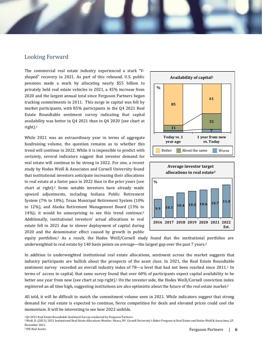#### Looking Forward

The commercial real estate industry experienced a stark "Vshaped" recovery in 2021. As part of this rebound, U.S. public pensions made a mark by allocating nearly \$55 billion to privately held real estate vehicles in 2021, a 45% increase from 2020 and the largest annual total since Ferguson Partners began tracking commitments in 2011. This surge in capital was felt by market participants, with 85% participants in the Q4 2021 Real Estate Roundtable sentiment survey indicating that capital availability was better in Q4 2021 than in Q4 2020 (see chart at right).<sup>1</sup>

While 2021 was an extraordinary year in terms of aggregate fundraising volume, the question remains as to whether this trend will continue in 2022. While it is impossible to predict with certainty, several indicators suggest that investor demand for real estate will continue to be strong in 2022. For one, a recent study by Hodes Weill & Associates and Cornell University found that institutional investors anticipate increasing their allocations to real estate at a faster pace in 2022 than in the prior years (see chart at right).<sup>2</sup> Some notable investors have already made upward adjustments, including Indiana Public Retirement System (7% to 10%), Texas Municipal Retirement System (10% to 12%), and Alaska Retirement Management Board (13% to 14%); it would be unsurprising to see this trend continue.<sup>3</sup> Additionally, institutional investors' actual allocations to real estate fell in 2021 due to slower deployment of capital during 2020 and the denominator effect caused by growth in public





equity portfolios.<sup>2</sup> As a result, the Hodes Weill/Cornell study found that the institutional portfolios are underweighted to real estate by 140 basis points on average—the largest gap over the past 7 years.<sup>2</sup>

In addition to underweighted institutional real estate allocations, sentiment across the market suggests that industry participants are bullish about the prospects of the asset class. In 2021, the Real Estate Roundtable sentiment survey recorded an overall industry index of 78—a level that had not been reached since 2011.<sup>1</sup> In terms of access to capital, that same survey found that over 60% of participants expect capital availability to be better one year from now (see chart at top right).<sup>1</sup> On the investor side, the Hodes Weill/Cornell conviction index registered an all time high, suggesting institutions are also optimistic about the future of the real estate market.<sup>2</sup>

All told, it will be difficult to match the commitment volume seen in 2021. While indicators suggest that strong demand for real estate is expected to continue, fierce competition for deals and elevated prices could cool the momentum. It will be interesting to see how 2022 unfolds.

<sup>1</sup>Q4 2021 Real Estate Roundtable Sentiment Survey conducted by Ferguson Partners

<sup>2</sup> Weill, D. (2021). 2021 Institutional Real Estate Allocations Monitor. Ithaca, NY: Cornell University's Baker Program in Real Estate and Hodes Weill & Associates, LP, November 2021.